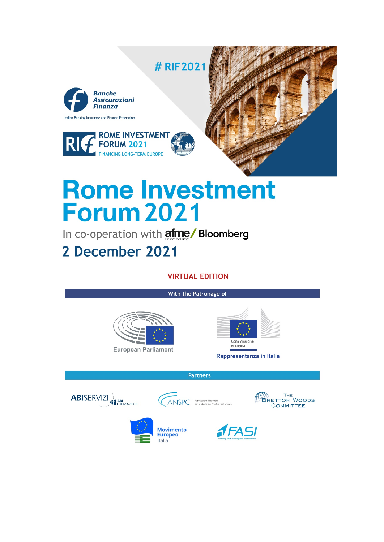

# **Rome Investment Forum 2021**

In co-operation with afme/ Bloomberg

# 2 December 2021

# **VIRTUAL EDITION**

#### With the Patronage of





Rappresentanza in Italia

**Partners** 





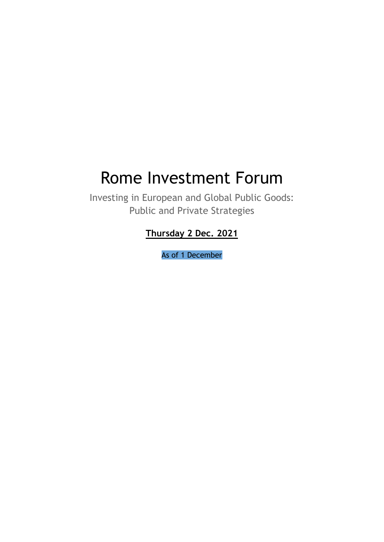# Rome Investment Forum

Investing in European and Global Public Goods: Public and Private Strategies

**Thursday 2 Dec. 2021**

As of 1 December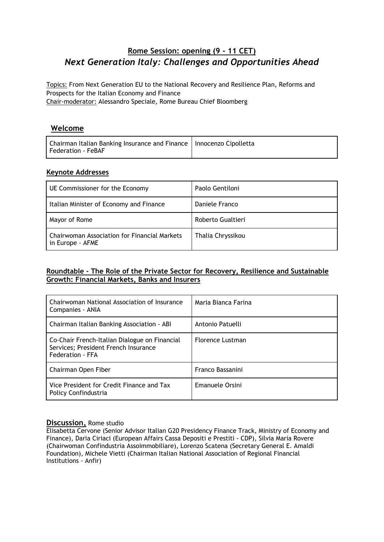# **Rome Session: opening (9 - 11 CET)** *Next Generation Italy: Challenges and Opportunities Ahead*

Topics: From Next Generation EU to the National Recovery and Resilience Plan, Reforms and Prospects for the Italian Economy and Finance Chair-moderator: Alessandro Speciale, Rome Bureau Chief Bloomberg

#### **Welcome**

| Chairman Italian Banking Insurance and Finance   Innocenzo Cipolletta<br>Federation - FeBAF |  |
|---------------------------------------------------------------------------------------------|--|
|                                                                                             |  |

#### **Keynote Addresses**

| UE Commissioner for the Economy                                  | Paolo Gentiloni   |
|------------------------------------------------------------------|-------------------|
| Italian Minister of Economy and Finance                          | Daniele Franco    |
| Mayor of Rome                                                    | Roberto Gualtieri |
| Chairwoman Association for Financial Markets<br>in Europe - AFME | Thalia Chryssikou |

#### **Roundtable - The Role of the Private Sector for Recovery, Resilience and Sustainable Growth: Financial Markets, Banks and Insurers**

| Chairwoman National Association of Insurance<br>Companies - ANIA                                          | Maria Bianca Farina |
|-----------------------------------------------------------------------------------------------------------|---------------------|
| Chairman Italian Banking Association - ABI                                                                | Antonio Patuelli    |
| Co-Chair French-Italian Dialogue on Financial<br>Services; President French Insurance<br>Federation - FFA | Florence Lustman    |
| Chairman Open Fiber                                                                                       | Franco Bassanini    |
| Vice President for Credit Finance and Tax<br>Policy Confindustria                                         | Emanuele Orsini     |

#### **Discussion,** Rome studio

Elisabetta Cervone (Senior Advisor Italian G20 Presidency Finance Track, Ministry of Economy and Finance), Daria Ciriaci (European Affairs Cassa Depositi e Prestiti - CDP), Silvia Maria Rovere (Chairwoman Confindustria Assoimmobiliare), Lorenzo Scatena (Secretary General E. Amaldi Foundation), Michele Vietti (Chairman Italian National Association of Regional Financial Institutions - Anfir)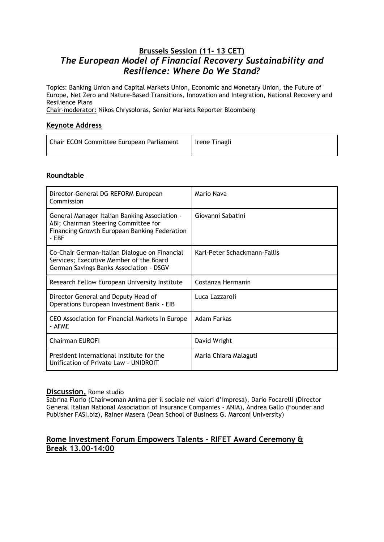### **Brussels Session (11- 13 CET)** *The European Model of Financial Recovery Sustainability and Resilience: Where Do We Stand?*

Topics: Banking Union and Capital Markets Union, Economic and Monetary Union, the Future of Europe, Net Zero and Nature-Based Transitions, Innovation and Integration, National Recovery and Resilience Plans

Chair-moderator: Nikos Chrysoloras, Senior Markets Reporter Bloomberg

#### **Keynote Address**

| Chair ECON Committee European Parliament | Irene Tinagli |
|------------------------------------------|---------------|
|                                          |               |

#### **Roundtable**

| Director-General DG REFORM European<br>Commission                                                                                              | Mario Nava                   |
|------------------------------------------------------------------------------------------------------------------------------------------------|------------------------------|
| General Manager Italian Banking Association -<br>ABI; Chairman Steering Committee for<br>Financing Growth European Banking Federation<br>- EBF | Giovanni Sabatini            |
| Co-Chair German-Italian Dialogue on Financial<br>Services; Executive Member of the Board<br>German Savings Banks Association - DSGV            | Karl-Peter Schackmann-Fallis |
| Research Fellow European University Institute                                                                                                  | Costanza Hermanin            |
| Director General and Deputy Head of<br>Operations European Investment Bank - EIB                                                               | Luca Lazzaroli               |
| CEO Association for Financial Markets in Europe<br>- AFME                                                                                      | Adam Farkas                  |
| <b>Chairman EUROFI</b>                                                                                                                         | David Wright                 |
| President International Institute for the<br>Unification of Private Law - UNIDROIT                                                             | Maria Chiara Malaguti        |

#### **Discussion,** Rome studio

Sabrina Florio (Chairwoman Anima per il sociale nei valori d'impresa), Dario Focarelli (Director General Italian National Association of Insurance Companies - ANIA), Andrea Gallo (Founder and Publisher FASI.biz), Rainer Masera (Dean School of Business G. Marconi University)

#### **Rome Investment Forum Empowers Talents – RIFET Award Ceremony & Break 13.00-14:00**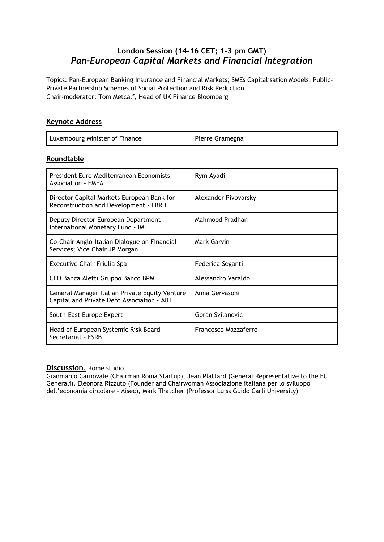### **London Session (14-16 CET; 1-3 pm GMT)** *Pan-European Capital Markets and Financial Integration*

Topics: Pan-European Banking Insurance and Financial Markets; SMEs Capitalisation Models; Public-Private Partnership Schemes of Social Protection and Risk Reduction Chair-moderator: Tom Metcalf, Head of UK Finance Bloomberg

#### **Keynote Address**

| Luxembourg Minister of Finance | Pierre Gramegna |
|--------------------------------|-----------------|
|--------------------------------|-----------------|

#### **Roundtable**

| President Euro-Mediterranean Economists<br><b>Association - EMEA</b>                          | Rym Ayadi            |
|-----------------------------------------------------------------------------------------------|----------------------|
| Director Capital Markets European Bank for<br>Reconstruction and Development - EBRD           | Alexander Pivovarsky |
| Deputy Director European Department<br>International Monetary Fund - IMF                      | Mahmood Pradhan      |
| Co-Chair Anglo-Italian Dialogue on Financial<br>Services; Vice Chair JP Morgan                | <b>Mark Garvin</b>   |
| Executive Chair Friulia Spa                                                                   | Federica Seganti     |
| CEO Banca Aletti Gruppo Banco BPM                                                             | Alessandro Varaldo   |
| General Manager Italian Private Equity Venture<br>Capital and Private Debt Association - AIFI | Anna Gervasoni       |
| South-East Europe Expert                                                                      | Goran Svilanovic     |
| Head of European Systemic Risk Board<br>Secretariat - ESRB                                    | Francesco Mazzaferro |

# **Discussion,** Rome studio

Gianmarco Carnovale (Chairman Roma Startup), Jean Plattard (General Representative to the EU Generali), Eleonora Rizzuto (Founder and Chairwoman Associazione italiana per lo sviluppo dell'economia circolare - Aisec), Mark Thatcher (Professor Luiss Guido Carli University)